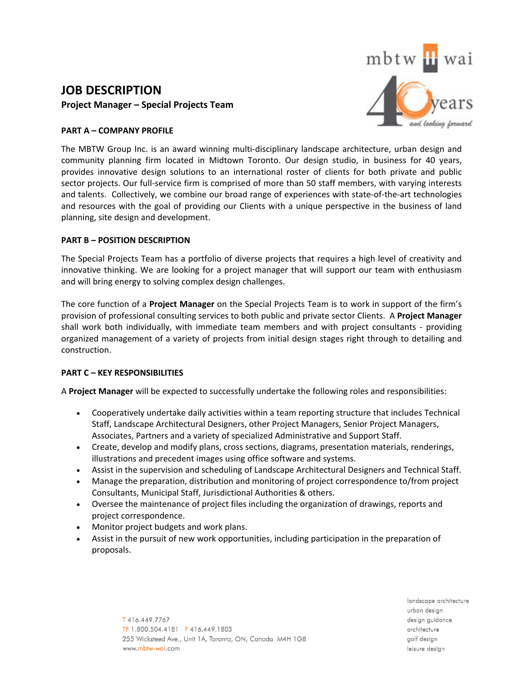# **JOB DESCRIPTION Project Manager – Special Projects Team**



# **PART A – COMPANY PROFILE**

The MBTW Group Inc. is an award winning multi-disciplinary landscape architecture, urban design and community planning firm located in Midtown Toronto. Our design studio, in business for 40 years, provides innovative design solutions to an international roster of clients for both private and public sector projects. Our full-service firm is comprised of more than 50 staff members, with varying interests and talents. Collectively, we combine our broad range of experiences with state‐of‐the‐art technologies and resources with the goal of providing our Clients with a unique perspective in the business of land planning, site design and development.

## **PART B – POSITION DESCRIPTION**

The Special Projects Team has a portfolio of diverse projects that requires a high level of creativity and innovative thinking. We are looking for a project manager that will support our team with enthusiasm and will bring energy to solving complex design challenges.

The core function of a **Project Manager** on the Special Projects Team is to work in support of the firm's provision of professional consulting services to both public and private sector Clients. A **Project Manager** shall work both individually, with immediate team members and with project consultants - providing organized management of a variety of projects from initial design stages right through to detailing and construction.

## **PART C – KEY RESPONSIBILITIES**

A **Project Manager** will be expected to successfully undertake the following roles and responsibilities:

- Cooperatively undertake daily activities within a team reporting structure that includes Technical Staff, Landscape Architectural Designers, other Project Managers, Senior Project Managers, Associates, Partners and a variety of specialized Administrative and Support Staff.
- Create, develop and modify plans, cross sections, diagrams, presentation materials, renderings, illustrations and precedent images using office software and systems.
- Assist in the supervision and scheduling of Landscape Architectural Designers and Technical Staff.
- Manage the preparation, distribution and monitoring of project correspondence to/from project Consultants, Municipal Staff, Jurisdictional Authorities & others.
- Oversee the maintenance of project files including the organization of drawings, reports and project correspondence.
- Monitor project budgets and work plans.
- Assist in the pursuit of new work opportunities, including participation in the preparation of proposals.